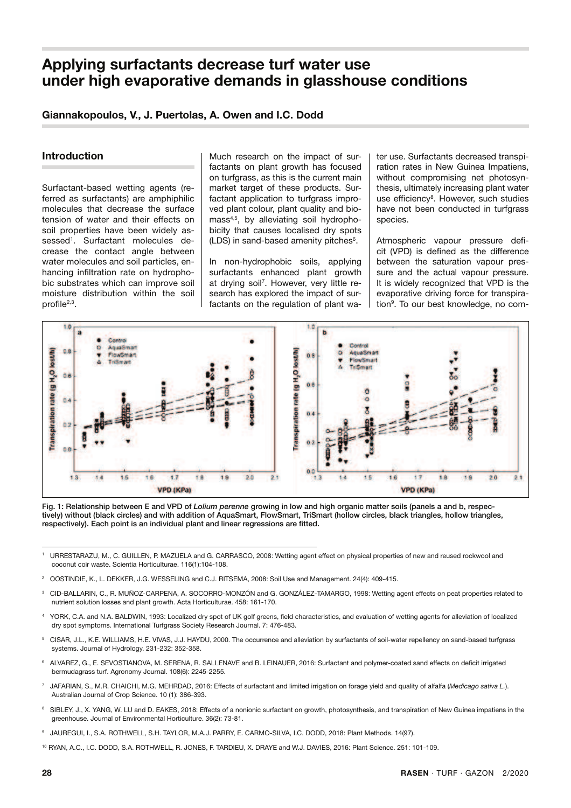# **Applying surfactants decrease turf water use under high evaporative demands in glasshouse conditions**

### **Giannakopoulos, V., J. Puertolas, A. Owen and I.C. Dodd**

# **Introduction**

Surfactant-based wetting agents (referred as surfactants) are amphiphilic molecules that decrease the surface tension of water and their effects on soil properties have been widely assessed<sup>1</sup>. Surfactant molecules decrease the contact angle between  water molecules and soil particles, enhancing infiltration rate on hydropho- surfactants enhanced plant gro<br>his qubetrates which can improve soil at draing soil<sup>7</sup>, Houguer von little bic substrates which can improve soil moisture distribution within the soil profile<sup>2,3</sup>.

Much research on the impact of surfactants on plant growth has focused on turfgrass, as this is the current main market target of these products. Surfactant application to turfgrass improved plant colour, plant quality and biomass4,5, by alleviating soil hydrophobicity that causes localised dry spots (LDS) in sand-based amenity pitches<sup>6</sup>. %' " A second the second second second second second second second second second second second second second s

> surfactants enhanced plant growth at drying soil<sup>7</sup>. However, very little research has explored the impact of surfactants on the regulation of plant wa-

ter use. Surfactants decreased transpiration rates in New Guinea Impatiens, without compromising net photosynthesis, ultimately increasing plant water use efficiency<sup>8</sup>. However, such studies have not been conducted in turfgrass species.

rater molecules and soil particles, en-  $\vert$  In non-hydrophobic soils, applying  $\vert$  between the saturation vapour pres-Atmospheric vapour pressure deficit (VPD) is defined as the difference between the saturation vapour pressure and the actual vapour pressure. It is widely recognized that VPD is the evaporative driving force for transpiration<sup>9</sup>. To our best knowledge, no com-



Fig. 1: Relationship between E and VPD of *Lolium perenne* growing in low and high organic matter soils (panels a and b, respecrig. 1: Relationship between E and VPD of *Lollum perenne* growing in low and nigh organic matter solis (panels a and b, respec-<br>tively) without (black circles) and with addition of AquaSmart, FlowSmart, TriSmart (hollow c  $r$ espectively). Each point is an individual plant and linear regressions are fitted.

- 1 URRESTARAZU, M., C. GUILLEN, P. MAZUELA and G. CARRASCO, 2008: Wetting agent effect on physical properties of new and reused rockwool and coconut coir waste. Scientia Horticulturae. 116(1):104-108.
- 2 OOSTINDIE, K., L. DEKKER, J.G. WESSELING and C.J. RITSEMA, 2008: Soil Use and Management. 24(4): 409-415.
- 3 CID-BALLARIN, C., R. MUÑOZ-CARPENA, A. SOCORRO-MONZÓN and G. GONZÁLEZ-TAMARGO, 1998: Wetting agent effects on peat properties related to nutrient solution losses and plant growth. Acta Horticulturae. 458: 161-170.
- 4 YORK, C.A. and N.A. BALDWIN, 1993: Localized dry spot of UK golf greens, field characteristics, and evaluation of wetting agents for alleviation of localized dry spot symptoms. International Turfgrass Society Research Journal. 7: 476-483.
- 5 CISAR, J.L., K.E. WILLIAMS, H.E. VIVAS, J.J. HAYDU, 2000. The occurrence and alleviation by surfactants of soil-water repellency on sand-based turfgrass systems. Journal of Hydrology. 231-232: 352-358.
- 6 ALVAREZ, G., E. SEVOSTIANOVA, M. SERENA, R. SALLENAVE and B. LEINAUER, 2016: Surfactant and polymer-coated sand effects on deficit irrigated bermudagrass turf. Agronomy Journal. 108(6): 2245-2255.
- 7 JAFARIAN, S., M.R. CHAICHI, M.G. MEHRDAD, 2016: Effects of surfactant and limited irrigation on forage yield and quality of alfalfa (*Medicago sativa L.*). Australian Journal of Crop Science. 10 (1): 386-393.
- 8 SIBLEY, J., X. YANG, W. LU and D. EAKES, 2018: Effects of a nonionic surfactant on growth, photosynthesis, and transpiration of New Guinea impatiens in the greenhouse. Journal of Environmental Horticulture. 36(2): 73-81.
- 9 JAUREGUI, I., S.A. ROTHWELL, S.H. TAYLOR, M.A.J. PARRY, E. CARMO-SILVA, I.C. DODD, 2018: Plant Methods. 14(97).
- <sup>10</sup> RYAN, A.C., I.C. DODD, S.A. ROTHWELL, R. JONES, F. TARDIEU, X. DRAYE and W.J. DAVIES, 2016: Plant Science. 251: 101-109.